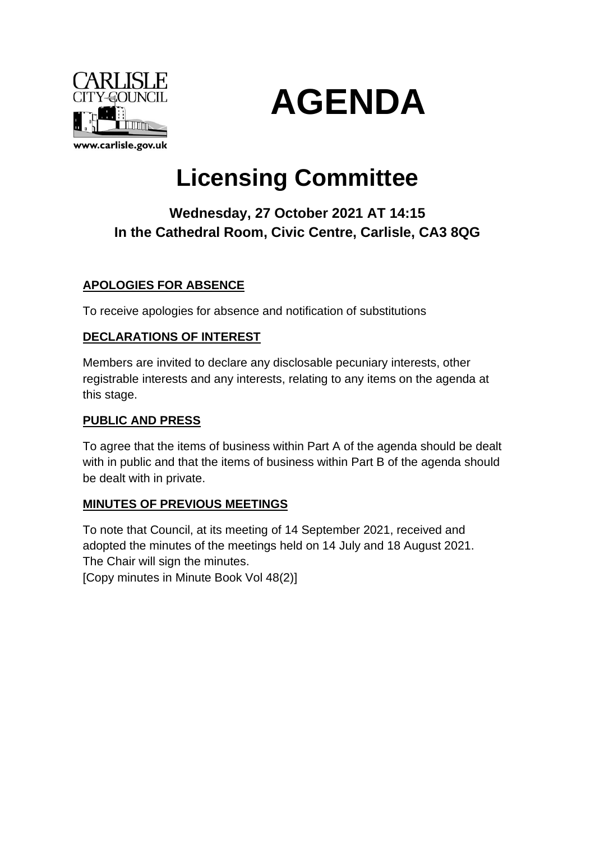



# **Licensing Committee**

# **Wednesday, 27 October 2021 AT 14:15 In the Cathedral Room, Civic Centre, Carlisle, CA3 8QG**

# **APOLOGIES FOR ABSENCE**

To receive apologies for absence and notification of substitutions

# **DECLARATIONS OF INTEREST**

Members are invited to declare any disclosable pecuniary interests, other registrable interests and any interests, relating to any items on the agenda at this stage.

# **PUBLIC AND PRESS**

To agree that the items of business within Part A of the agenda should be dealt with in public and that the items of business within Part B of the agenda should be dealt with in private.

# **MINUTES OF PREVIOUS MEETINGS**

To note that Council, at its meeting of 14 September 2021, received and adopted the minutes of the meetings held on 14 July and 18 August 2021. The Chair will sign the minutes.

[Copy minutes in Minute Book Vol 48(2)]